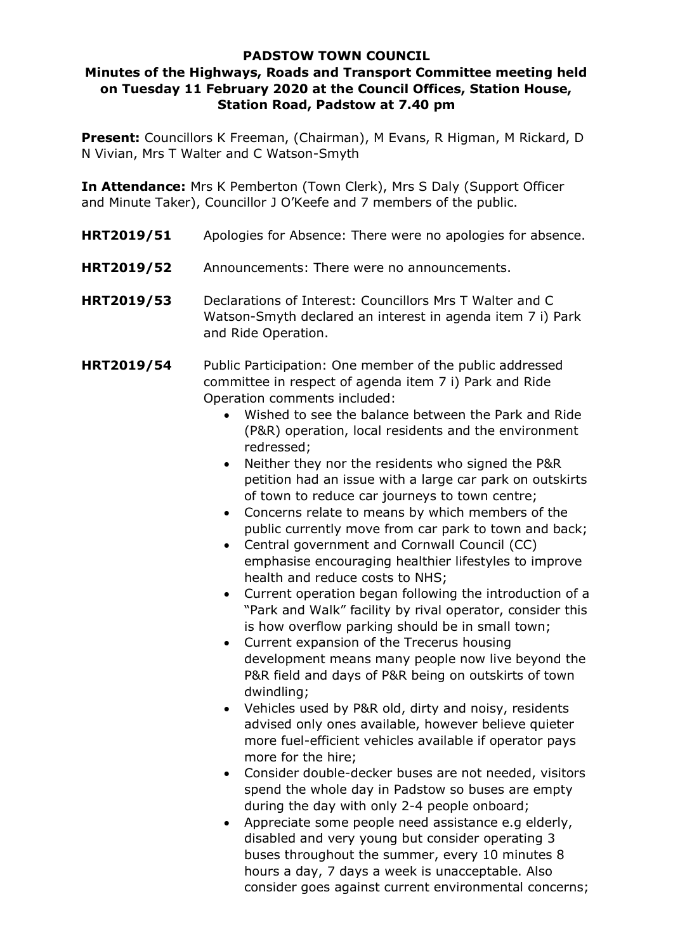## **PADSTOW TOWN COUNCIL**

## **Minutes of the Highways, Roads and Transport Committee meeting held on Tuesday 11 February 2020 at the Council Offices, Station House, Station Road, Padstow at 7.40 pm**

**Present:** Councillors K Freeman, (Chairman), M Evans, R Higman, M Rickard, D N Vivian, Mrs T Walter and C Watson-Smyth

**In Attendance:** Mrs K Pemberton (Town Clerk), Mrs S Daly (Support Officer and Minute Taker), Councillor J O'Keefe and 7 members of the public.

- **HRT2019/51** Apologies for Absence: There were no apologies for absence.
- **HRT2019/52** Announcements: There were no announcements.
- **HRT2019/53** Declarations of Interest: Councillors Mrs T Walter and C Watson-Smyth declared an interest in agenda item 7 i) Park and Ride Operation.
- **HRT2019/54** Public Participation: One member of the public addressed committee in respect of agenda item 7 i) Park and Ride Operation comments included:
	- Wished to see the balance between the Park and Ride (P&R) operation, local residents and the environment redressed;
	- Neither they nor the residents who signed the P&R petition had an issue with a large car park on outskirts of town to reduce car journeys to town centre;
	- Concerns relate to means by which members of the public currently move from car park to town and back;
	- Central government and Cornwall Council (CC) emphasise encouraging healthier lifestyles to improve health and reduce costs to NHS;
	- Current operation began following the introduction of a "Park and Walk" facility by rival operator, consider this is how overflow parking should be in small town;
	- Current expansion of the Trecerus housing development means many people now live beyond the P&R field and days of P&R being on outskirts of town dwindling;
	- Vehicles used by P&R old, dirty and noisy, residents advised only ones available, however believe quieter more fuel-efficient vehicles available if operator pays more for the hire;
	- Consider double-decker buses are not needed, visitors spend the whole day in Padstow so buses are empty during the day with only 2-4 people onboard;
	- Appreciate some people need assistance e.g elderly, disabled and very young but consider operating 3 buses throughout the summer, every 10 minutes 8 hours a day, 7 days a week is unacceptable. Also consider goes against current environmental concerns;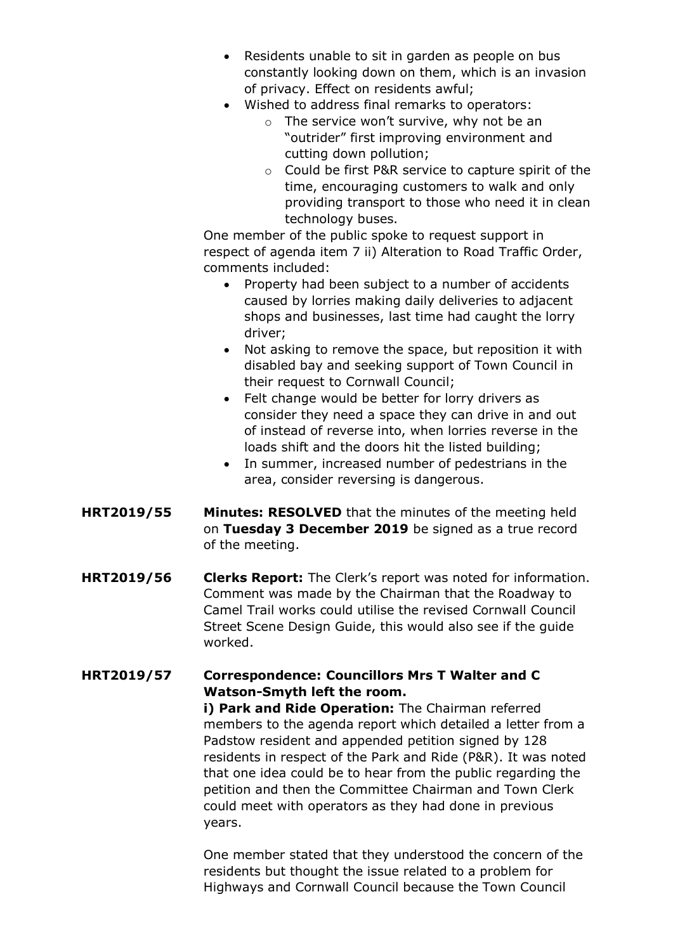- Residents unable to sit in garden as people on bus constantly looking down on them, which is an invasion of privacy. Effect on residents awful;
- Wished to address final remarks to operators:
	- o The service won't survive, why not be an "outrider" first improving environment and cutting down pollution;
	- o Could be first P&R service to capture spirit of the time, encouraging customers to walk and only providing transport to those who need it in clean technology buses.

One member of the public spoke to request support in respect of agenda item 7 ii) Alteration to Road Traffic Order, comments included:

- Property had been subject to a number of accidents caused by lorries making daily deliveries to adjacent shops and businesses, last time had caught the lorry driver;
- Not asking to remove the space, but reposition it with disabled bay and seeking support of Town Council in their request to Cornwall Council;
- Felt change would be better for lorry drivers as consider they need a space they can drive in and out of instead of reverse into, when lorries reverse in the loads shift and the doors hit the listed building;
- In summer, increased number of pedestrians in the area, consider reversing is dangerous.
- **HRT2019/55 Minutes: RESOLVED** that the minutes of the meeting held on **Tuesday 3 December 2019** be signed as a true record of the meeting.
- **HRT2019/56 Clerks Report:** The Clerk's report was noted for information. Comment was made by the Chairman that the Roadway to Camel Trail works could utilise the revised Cornwall Council Street Scene Design Guide, this would also see if the guide worked.

## **HRT2019/57 Correspondence: Councillors Mrs T Walter and C Watson-Smyth left the room.**

**i) Park and Ride Operation:** The Chairman referred members to the agenda report which detailed a letter from a Padstow resident and appended petition signed by 128 residents in respect of the Park and Ride (P&R). It was noted that one idea could be to hear from the public regarding the petition and then the Committee Chairman and Town Clerk could meet with operators as they had done in previous years.

One member stated that they understood the concern of the residents but thought the issue related to a problem for Highways and Cornwall Council because the Town Council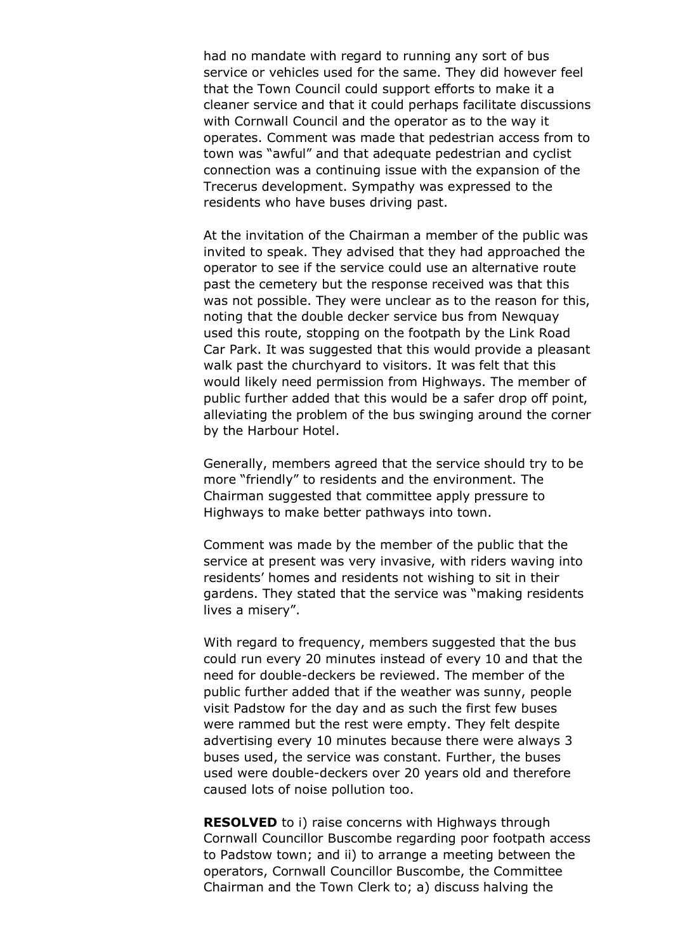had no mandate with regard to running any sort of bus service or vehicles used for the same. They did however feel that the Town Council could support efforts to make it a cleaner service and that it could perhaps facilitate discussions with Cornwall Council and the operator as to the way it operates. Comment was made that pedestrian access from to town was "awful" and that adequate pedestrian and cyclist connection was a continuing issue with the expansion of the Trecerus development. Sympathy was expressed to the residents who have buses driving past.

At the invitation of the Chairman a member of the public was invited to speak. They advised that they had approached the operator to see if the service could use an alternative route past the cemetery but the response received was that this was not possible. They were unclear as to the reason for this, noting that the double decker service bus from Newquay used this route, stopping on the footpath by the Link Road Car Park. It was suggested that this would provide a pleasant walk past the churchyard to visitors. It was felt that this would likely need permission from Highways. The member of public further added that this would be a safer drop off point, alleviating the problem of the bus swinging around the corner by the Harbour Hotel.

Generally, members agreed that the service should try to be more "friendly" to residents and the environment. The Chairman suggested that committee apply pressure to Highways to make better pathways into town.

Comment was made by the member of the public that the service at present was very invasive, with riders waving into residents' homes and residents not wishing to sit in their gardens. They stated that the service was "making residents lives a misery".

With regard to frequency, members suggested that the bus could run every 20 minutes instead of every 10 and that the need for double-deckers be reviewed. The member of the public further added that if the weather was sunny, people visit Padstow for the day and as such the first few buses were rammed but the rest were empty. They felt despite advertising every 10 minutes because there were always 3 buses used, the service was constant. Further, the buses used were double-deckers over 20 years old and therefore caused lots of noise pollution too.

**RESOLVED** to i) raise concerns with Highways through Cornwall Councillor Buscombe regarding poor footpath access to Padstow town; and ii) to arrange a meeting between the operators, Cornwall Councillor Buscombe, the Committee Chairman and the Town Clerk to; a) discuss halving the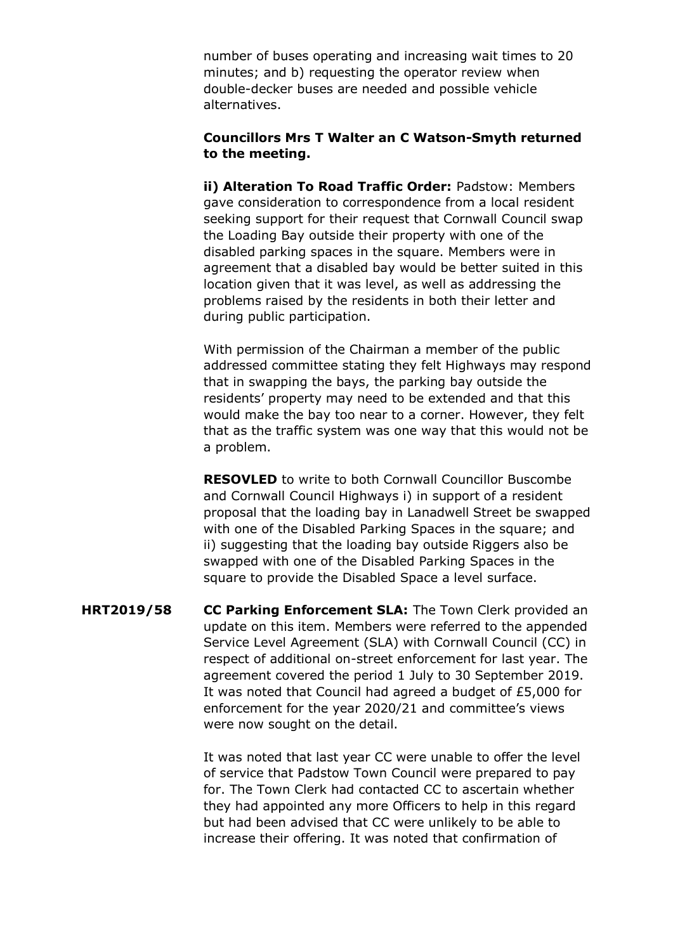number of buses operating and increasing wait times to 20 minutes; and b) requesting the operator review when double-decker buses are needed and possible vehicle alternatives.

## **Councillors Mrs T Walter an C Watson-Smyth returned to the meeting.**

**ii) Alteration To Road Traffic Order:** Padstow: Members gave consideration to correspondence from a local resident seeking support for their request that Cornwall Council swap the Loading Bay outside their property with one of the disabled parking spaces in the square. Members were in agreement that a disabled bay would be better suited in this location given that it was level, as well as addressing the problems raised by the residents in both their letter and during public participation.

With permission of the Chairman a member of the public addressed committee stating they felt Highways may respond that in swapping the bays, the parking bay outside the residents' property may need to be extended and that this would make the bay too near to a corner. However, they felt that as the traffic system was one way that this would not be a problem.

**RESOVLED** to write to both Cornwall Councillor Buscombe and Cornwall Council Highways i) in support of a resident proposal that the loading bay in Lanadwell Street be swapped with one of the Disabled Parking Spaces in the square; and ii) suggesting that the loading bay outside Riggers also be swapped with one of the Disabled Parking Spaces in the square to provide the Disabled Space a level surface.

**HRT2019/58 CC Parking Enforcement SLA:** The Town Clerk provided an update on this item. Members were referred to the appended Service Level Agreement (SLA) with Cornwall Council (CC) in respect of additional on-street enforcement for last year. The agreement covered the period 1 July to 30 September 2019. It was noted that Council had agreed a budget of £5,000 for enforcement for the year 2020/21 and committee's views were now sought on the detail.

> It was noted that last year CC were unable to offer the level of service that Padstow Town Council were prepared to pay for. The Town Clerk had contacted CC to ascertain whether they had appointed any more Officers to help in this regard but had been advised that CC were unlikely to be able to increase their offering. It was noted that confirmation of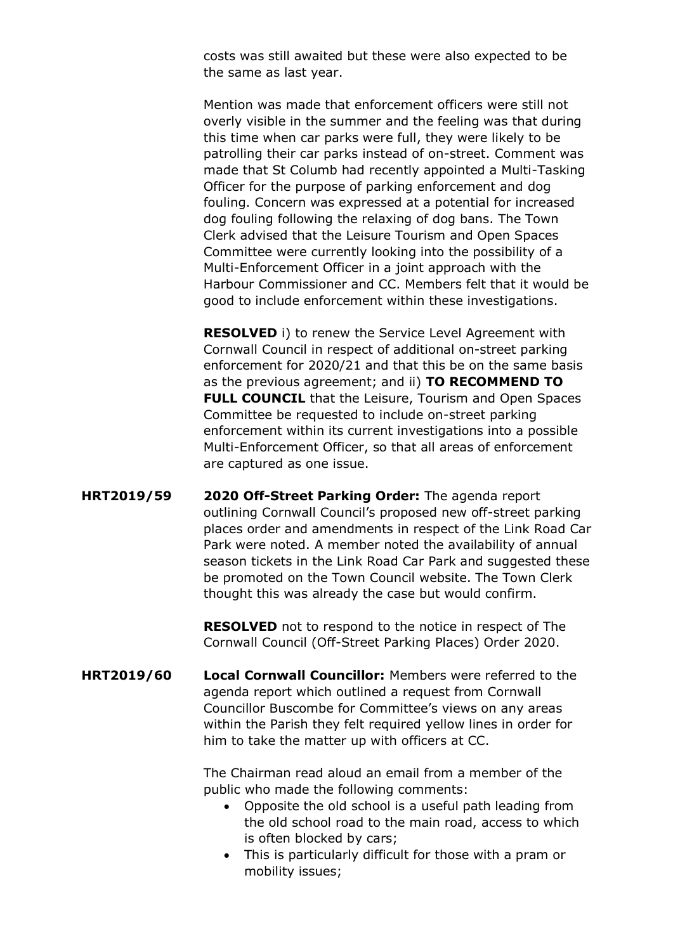costs was still awaited but these were also expected to be the same as last year.

Mention was made that enforcement officers were still not overly visible in the summer and the feeling was that during this time when car parks were full, they were likely to be patrolling their car parks instead of on-street. Comment was made that St Columb had recently appointed a Multi-Tasking Officer for the purpose of parking enforcement and dog fouling. Concern was expressed at a potential for increased dog fouling following the relaxing of dog bans. The Town Clerk advised that the Leisure Tourism and Open Spaces Committee were currently looking into the possibility of a Multi-Enforcement Officer in a joint approach with the Harbour Commissioner and CC. Members felt that it would be good to include enforcement within these investigations.

**RESOLVED** i) to renew the Service Level Agreement with Cornwall Council in respect of additional on-street parking enforcement for 2020/21 and that this be on the same basis as the previous agreement; and ii) **TO RECOMMEND TO FULL COUNCIL** that the Leisure, Tourism and Open Spaces Committee be requested to include on-street parking enforcement within its current investigations into a possible Multi-Enforcement Officer, so that all areas of enforcement are captured as one issue.

**HRT2019/59 2020 Off-Street Parking Order:** The agenda report outlining Cornwall Council's proposed new off-street parking places order and amendments in respect of the Link Road Car Park were noted. A member noted the availability of annual season tickets in the Link Road Car Park and suggested these be promoted on the Town Council website. The Town Clerk thought this was already the case but would confirm.

> **RESOLVED** not to respond to the notice in respect of The Cornwall Council (Off-Street Parking Places) Order 2020.

**HRT2019/60 Local Cornwall Councillor:** Members were referred to the agenda report which outlined a request from Cornwall Councillor Buscombe for Committee's views on any areas within the Parish they felt required yellow lines in order for him to take the matter up with officers at CC.

> The Chairman read aloud an email from a member of the public who made the following comments:

- Opposite the old school is a useful path leading from the old school road to the main road, access to which is often blocked by cars;
- This is particularly difficult for those with a pram or mobility issues;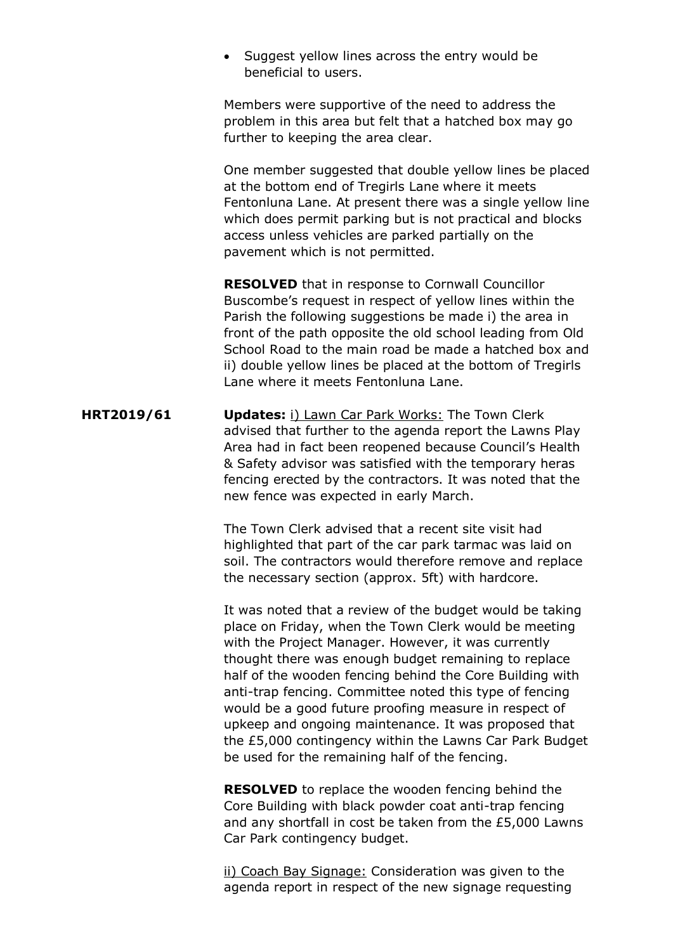• Suggest yellow lines across the entry would be beneficial to users.

Members were supportive of the need to address the problem in this area but felt that a hatched box may go further to keeping the area clear.

One member suggested that double yellow lines be placed at the bottom end of Tregirls Lane where it meets Fentonluna Lane. At present there was a single yellow line which does permit parking but is not practical and blocks access unless vehicles are parked partially on the pavement which is not permitted.

**RESOLVED** that in response to Cornwall Councillor Buscombe's request in respect of yellow lines within the Parish the following suggestions be made i) the area in front of the path opposite the old school leading from Old School Road to the main road be made a hatched box and ii) double yellow lines be placed at the bottom of Tregirls Lane where it meets Fentonluna Lane.

**HRT2019/61 Updates:** i) Lawn Car Park Works: The Town Clerk advised that further to the agenda report the Lawns Play Area had in fact been reopened because Council's Health & Safety advisor was satisfied with the temporary heras fencing erected by the contractors. It was noted that the new fence was expected in early March.

> The Town Clerk advised that a recent site visit had highlighted that part of the car park tarmac was laid on soil. The contractors would therefore remove and replace the necessary section (approx. 5ft) with hardcore.

It was noted that a review of the budget would be taking place on Friday, when the Town Clerk would be meeting with the Project Manager. However, it was currently thought there was enough budget remaining to replace half of the wooden fencing behind the Core Building with anti-trap fencing. Committee noted this type of fencing would be a good future proofing measure in respect of upkeep and ongoing maintenance. It was proposed that the £5,000 contingency within the Lawns Car Park Budget be used for the remaining half of the fencing.

**RESOLVED** to replace the wooden fencing behind the Core Building with black powder coat anti-trap fencing and any shortfall in cost be taken from the £5,000 Lawns Car Park contingency budget.

ii) Coach Bay Signage: Consideration was given to the agenda report in respect of the new signage requesting